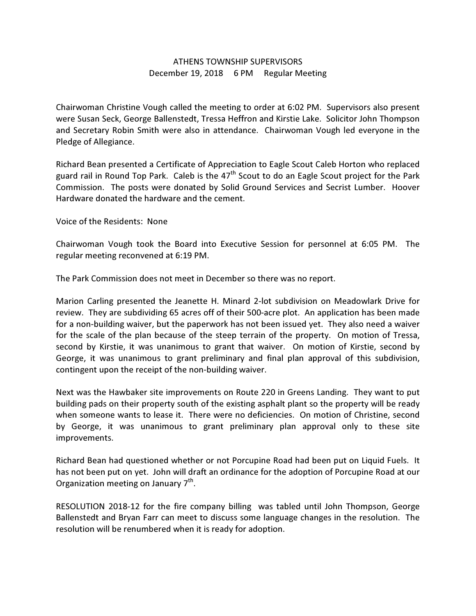## ATHENS TOWNSHIP SUPERVISORS December 19, 2018 6 PM Regular Meeting

Chairwoman Christine Vough called the meeting to order at 6:02 PM. Supervisors also present were Susan Seck, George Ballenstedt, Tressa Heffron and Kirstie Lake. Solicitor John Thompson and Secretary Robin Smith were also in attendance. Chairwoman Vough led everyone in the Pledge of Allegiance.

Richard Bean presented a Certificate of Appreciation to Eagle Scout Caleb Horton who replaced guard rail in Round Top Park. Caleb is the  $47<sup>th</sup>$  Scout to do an Eagle Scout project for the Park Commission. The posts were donated by Solid Ground Services and Secrist Lumber. Hoover Hardware donated the hardware and the cement.

Voice of the Residents: None

Chairwoman Vough took the Board into Executive Session for personnel at 6:05 PM. The regular meeting reconvened at 6:19 PM.

The Park Commission does not meet in December so there was no report.

Marion Carling presented the Jeanette H. Minard 2-lot subdivision on Meadowlark Drive for review. They are subdividing 65 acres off of their 500-acre plot. An application has been made for a non-building waiver, but the paperwork has not been issued yet. They also need a waiver for the scale of the plan because of the steep terrain of the property. On motion of Tressa, second by Kirstie, it was unanimous to grant that waiver. On motion of Kirstie, second by George, it was unanimous to grant preliminary and final plan approval of this subdivision, contingent upon the receipt of the non-building waiver.

Next was the Hawbaker site improvements on Route 220 in Greens Landing. They want to put building pads on their property south of the existing asphalt plant so the property will be ready when someone wants to lease it. There were no deficiencies. On motion of Christine, second by George, it was unanimous to grant preliminary plan approval only to these site improvements.

Richard Bean had questioned whether or not Porcupine Road had been put on Liquid Fuels. It has not been put on yet. John will draft an ordinance for the adoption of Porcupine Road at our Organization meeting on January  $7<sup>th</sup>$ .

RESOLUTION 2018-12 for the fire company billing was tabled until John Thompson, George Ballenstedt and Bryan Farr can meet to discuss some language changes in the resolution. The resolution will be renumbered when it is ready for adoption.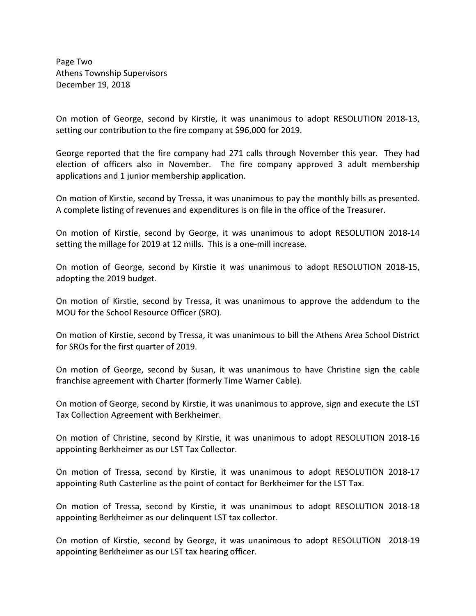Page Two Athens Township Supervisors December 19, 2018

On motion of George, second by Kirstie, it was unanimous to adopt RESOLUTION 2018-13, setting our contribution to the fire company at \$96,000 for 2019.

George reported that the fire company had 271 calls through November this year. They had election of officers also in November. The fire company approved 3 adult membership applications and 1 junior membership application.

On motion of Kirstie, second by Tressa, it was unanimous to pay the monthly bills as presented. A complete listing of revenues and expenditures is on file in the office of the Treasurer.

On motion of Kirstie, second by George, it was unanimous to adopt RESOLUTION 2018-14 setting the millage for 2019 at 12 mills. This is a one-mill increase.

On motion of George, second by Kirstie it was unanimous to adopt RESOLUTION 2018-15, adopting the 2019 budget.

On motion of Kirstie, second by Tressa, it was unanimous to approve the addendum to the MOU for the School Resource Officer (SRO).

On motion of Kirstie, second by Tressa, it was unanimous to bill the Athens Area School District for SROs for the first quarter of 2019.

On motion of George, second by Susan, it was unanimous to have Christine sign the cable franchise agreement with Charter (formerly Time Warner Cable).

On motion of George, second by Kirstie, it was unanimous to approve, sign and execute the LST Tax Collection Agreement with Berkheimer.

On motion of Christine, second by Kirstie, it was unanimous to adopt RESOLUTION 2018-16 appointing Berkheimer as our LST Tax Collector.

On motion of Tressa, second by Kirstie, it was unanimous to adopt RESOLUTION 2018-17 appointing Ruth Casterline as the point of contact for Berkheimer for the LST Tax.

On motion of Tressa, second by Kirstie, it was unanimous to adopt RESOLUTION 2018-18 appointing Berkheimer as our delinquent LST tax collector.

On motion of Kirstie, second by George, it was unanimous to adopt RESOLUTION 2018-19 appointing Berkheimer as our LST tax hearing officer.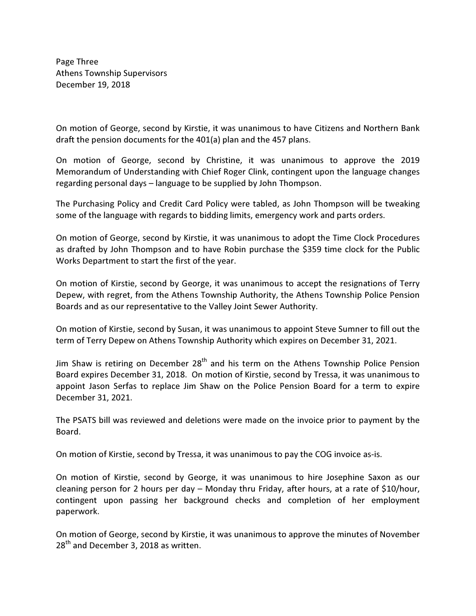Page Three Athens Township Supervisors December 19, 2018

On motion of George, second by Kirstie, it was unanimous to have Citizens and Northern Bank draft the pension documents for the 401(a) plan and the 457 plans.

On motion of George, second by Christine, it was unanimous to approve the 2019 Memorandum of Understanding with Chief Roger Clink, contingent upon the language changes regarding personal days – language to be supplied by John Thompson.

The Purchasing Policy and Credit Card Policy were tabled, as John Thompson will be tweaking some of the language with regards to bidding limits, emergency work and parts orders.

On motion of George, second by Kirstie, it was unanimous to adopt the Time Clock Procedures as drafted by John Thompson and to have Robin purchase the \$359 time clock for the Public Works Department to start the first of the year.

On motion of Kirstie, second by George, it was unanimous to accept the resignations of Terry Depew, with regret, from the Athens Township Authority, the Athens Township Police Pension Boards and as our representative to the Valley Joint Sewer Authority.

On motion of Kirstie, second by Susan, it was unanimous to appoint Steve Sumner to fill out the term of Terry Depew on Athens Township Authority which expires on December 31, 2021.

Jim Shaw is retiring on December 28<sup>th</sup> and his term on the Athens Township Police Pension Board expires December 31, 2018. On motion of Kirstie, second by Tressa, it was unanimous to appoint Jason Serfas to replace Jim Shaw on the Police Pension Board for a term to expire December 31, 2021.

The PSATS bill was reviewed and deletions were made on the invoice prior to payment by the Board.

On motion of Kirstie, second by Tressa, it was unanimous to pay the COG invoice as-is.

On motion of Kirstie, second by George, it was unanimous to hire Josephine Saxon as our cleaning person for 2 hours per day – Monday thru Friday, after hours, at a rate of \$10/hour, contingent upon passing her background checks and completion of her employment paperwork.

On motion of George, second by Kirstie, it was unanimous to approve the minutes of November 28<sup>th</sup> and December 3, 2018 as written.